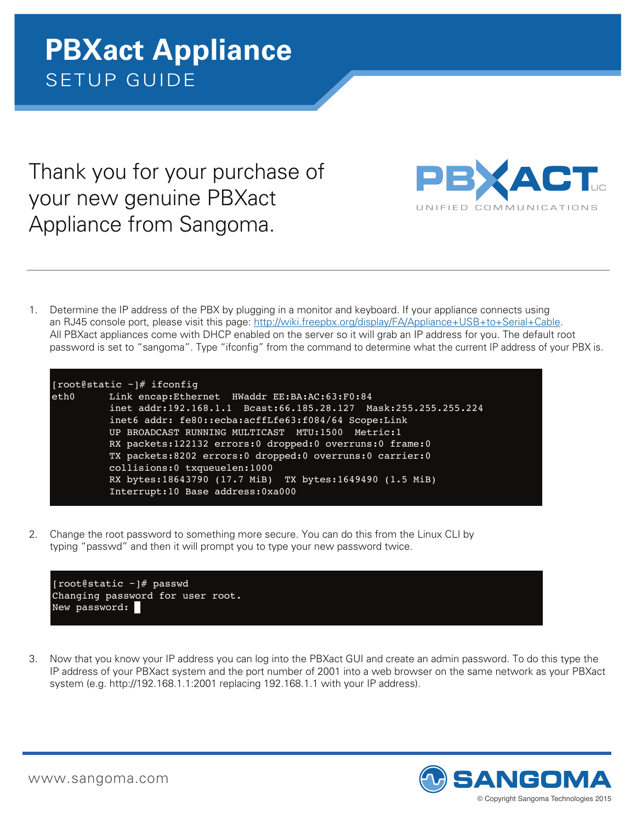Thank you for your purchase of your new genuine PBXact Appliance from Sangoma.



1. Determine the IP address of the PBX by plugging in a monitor and keyboard. If your appliance connects using an RJ45 console port, please visit this page: http://wiki.freepbx.org/display/FA/Appliance+USB+to+Serial+Cable. All PBXact appliances come with DHCP enabled on the server so it will grab an IP address for you. The default root password is set to "sangoma". Type "ifconfig" from the command to determine what the current IP address of your PBX is.



2. Change the root password to something more secure. You can do this from the Linux CLI by typing "passwd" and then it will prompt you to type your new password twice. inet addr:127.0.0.1 Mask:255.0.0.0 oot password to something more secu



3. Now that you know your IP address you can log into the PBXact GUI and create an admin password. To do this type the IP address of your PBXact system and the port number of 2001 into a web browser on the same network as your PBXact system (e.g. http://192.168.1.1:2001 replacing 192.168.1.1 with your IP address).